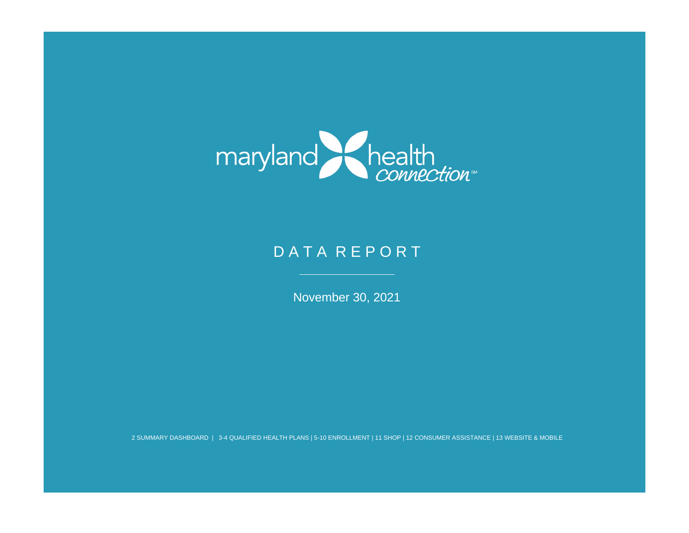

# DATA REPORT

November 30, 2021

2 SUMMARY DASHBOARD | 3-4 QUALIFIED HEALTH PLANS | 5-10 ENROLLMENT | 11 SHOP | 12 CONSUMER ASSISTANCE | 13 WEBSITE & MOBILE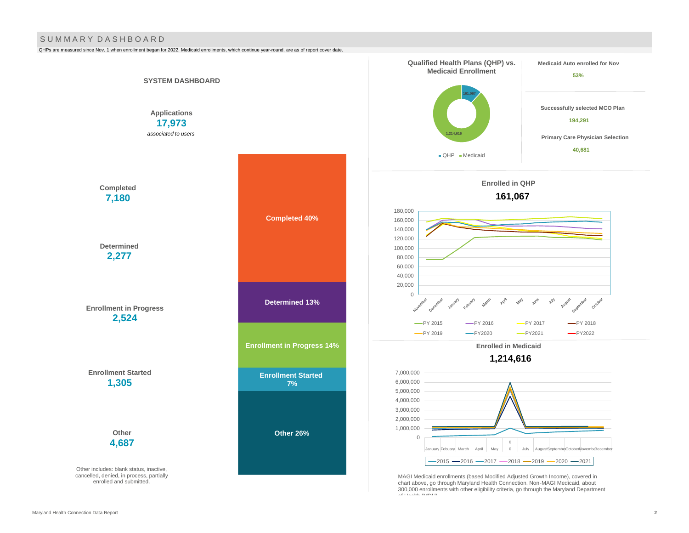#### S U M M A R Y D A S H B O A R D

QHPs are measured since Nov. 1 when enrollment began for 2022. Medicaid enrollments, which continue year-round, are as of report cover date.

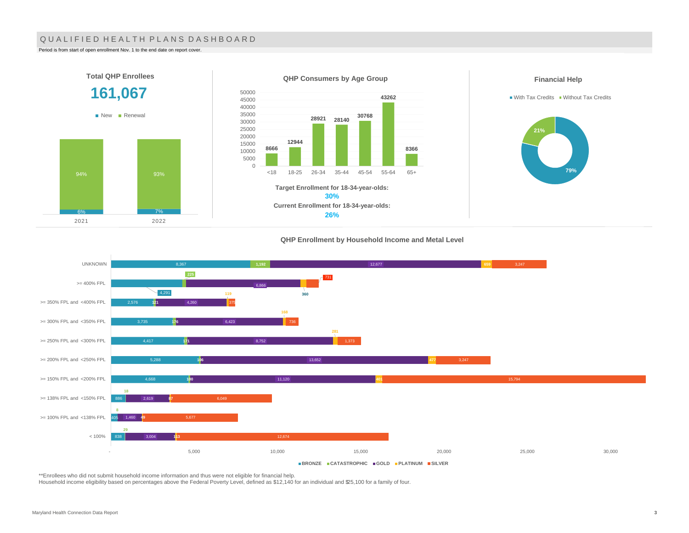#### QUALIFIED HEALTH PLANS DASHBOARD

Period is from start of open enrollment Nov. 1 to the end date on report cover.

2021 2022



#### **QHP Enrollment by Household Income and Metal Level**



\*\*Enrollees who did not submit household income information and thus were not eligible for financial help.

Household income eligibility based on percentages above the Federal Poverty Level, defined as \$12,140 for an individual and \$25,100 for a family of four.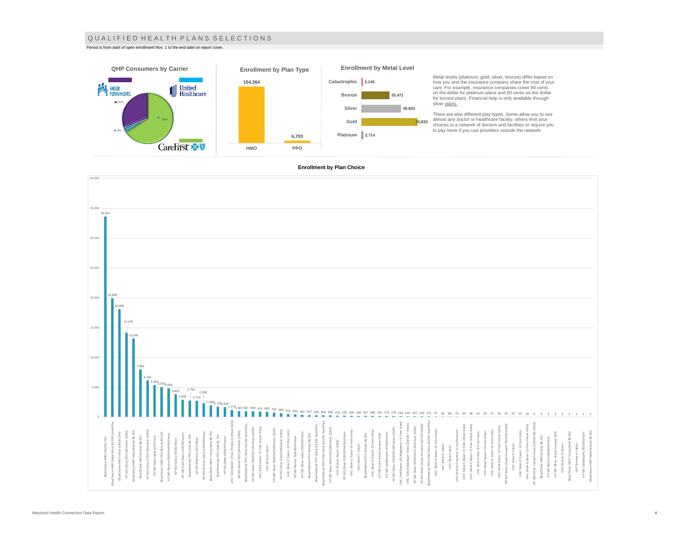#### Q U A L I F I E D H E A L T H P L A N S S E L E C T I O N S

Period is from start of open enrollment Nov. 1 to the end date on report cover.



#### **Enrollment by Plan Choice**

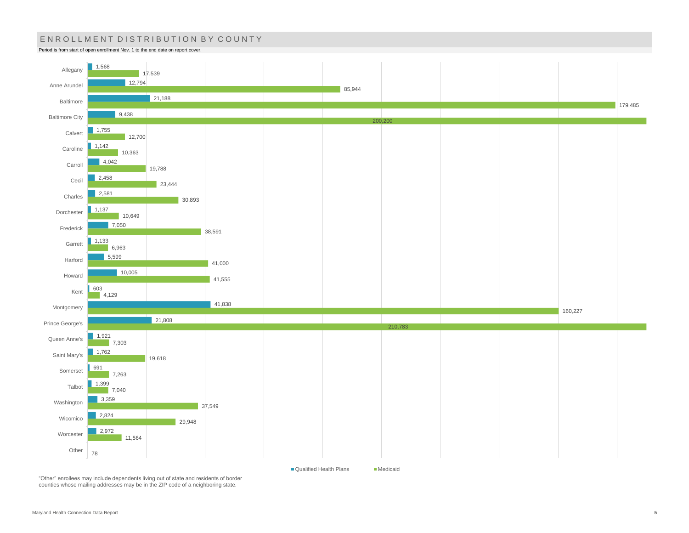## ENROLLMENT DISTRIBUTION BY COUNTY

Period is from start of open enrollment Nov. 1 to the end date on report cover.



"Other" enrollees may include dependents living out of state and residents of border counties whose mailing addresses may be in the ZIP code of a neighboring state.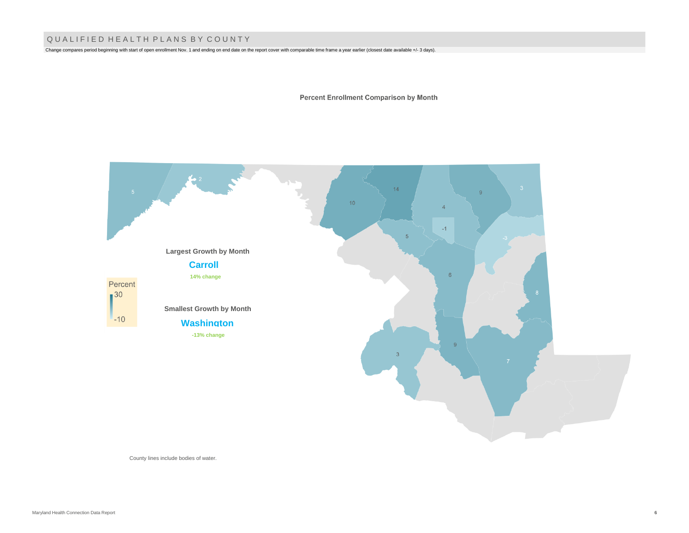### Q U A L I F I E D H E A L T H P L A N S B Y C O U N T Y

Change compares period beginning with start of open enrollment Nov. 1 and ending on end date on the report cover with comparable time frame a year earlier (closest date available +/- 3 days).

**Percent Enrollment Comparison by Month** 



County lines include bodies of water.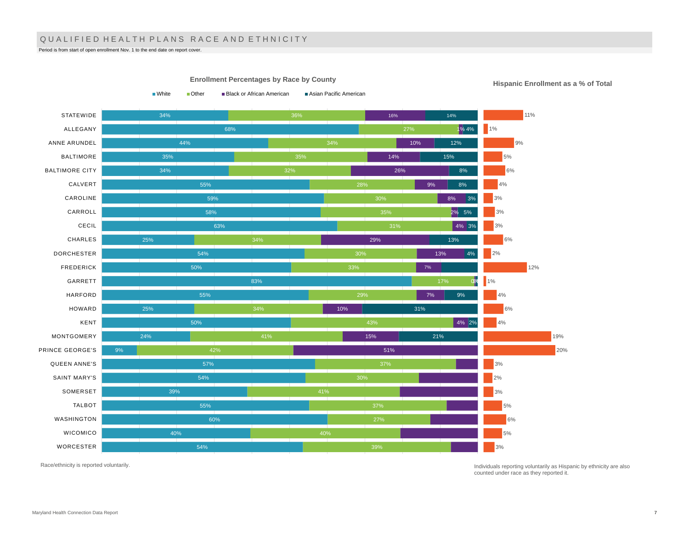### QUALIFIED HEALTH PLANS RACE AND ETHNICITY

Period is from start of open enrollment Nov. 1 to the end date on report cover.



**Enrollment Percentages by Race by County**

**Hispanic Enrollment as a % of Total**

Race/ethnicity is reported voluntarily.

Individuals reporting voluntarily as Hispanic by ethnicity are also counted under race as they reported it.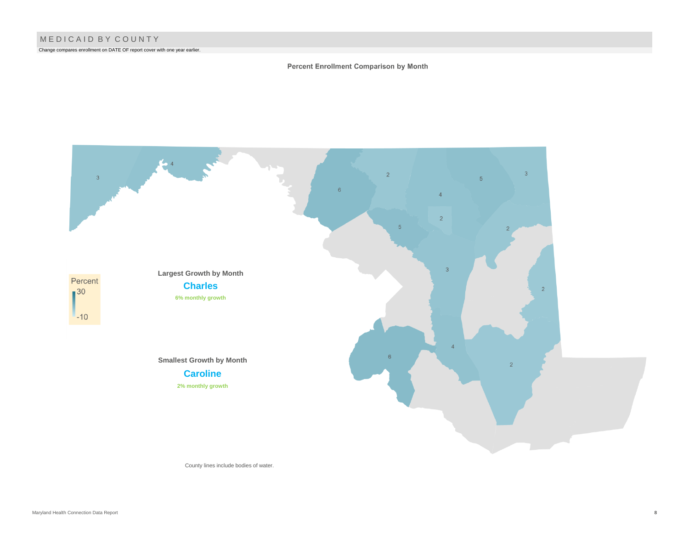Change compares enrollment on DATE OF report cover with one year earlier.

#### Percent Enrollment Comparison by Month



County lines include bodies of water.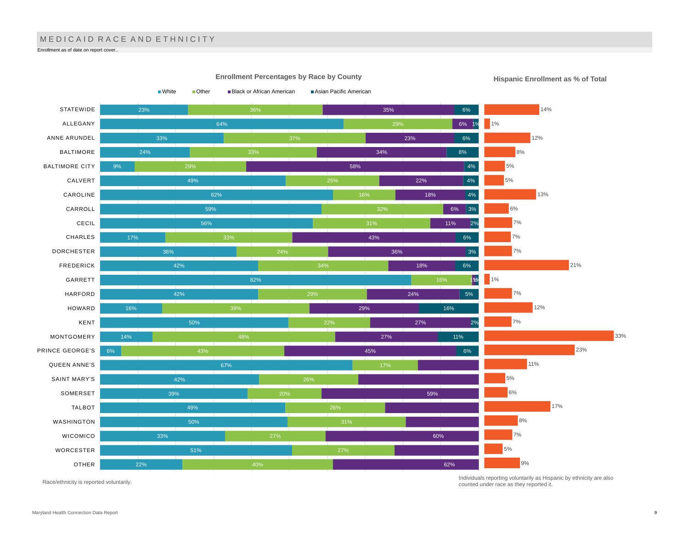# MEDICAID RACE AND ETHNICITY

Enrollment as of date on report cover..



**Enrollment Percentages by Race by County**

**Hispanic Enrollment as % of Total**

Race/ethnicity is reported voluntarily.

Individuals reporting voluntarily as Hispanic by ethnicity are also counted under race as they reported it.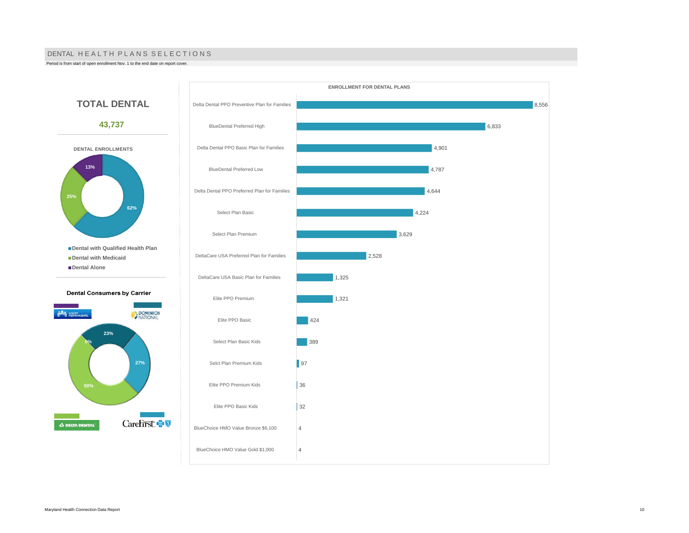#### DENTAL HE A L TH PLANS SELECTIONS

Period is from start of open enrollment Nov. 1 to the end date on report cover.

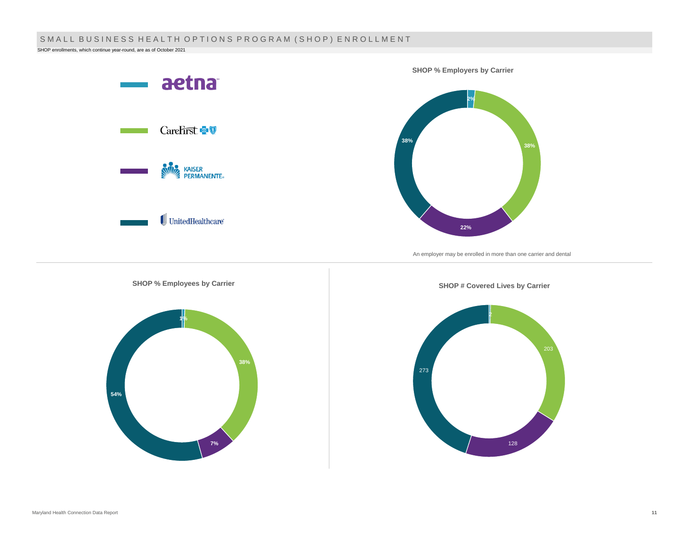## SMALL BUSINESS HEALTH OPTIONS PROGRAM (SHOP) ENROLLMENT

SHOP enrollments, which continue year-round, are as of October 2021

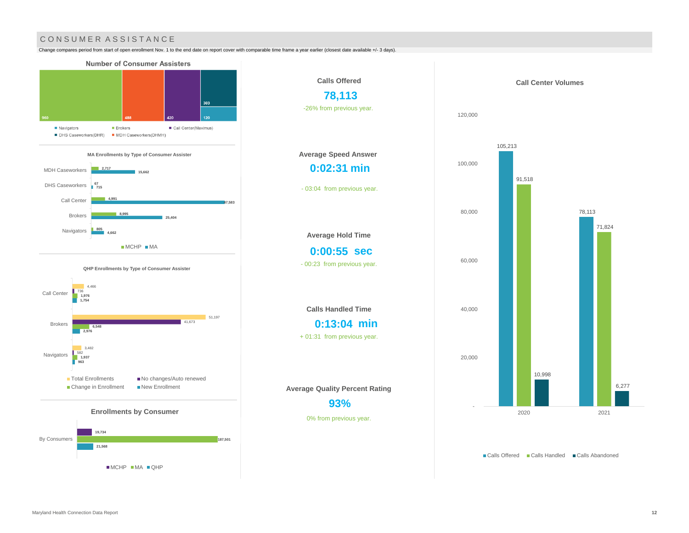# CONSUMER ASSISTANCE

Change compares period from start of open enrollment Nov. 1 to the end date on report cover with comparable time frame a year earlier (closest date available +/- 3 days).



 $MCHP$   $M$   $M$   $QHP$ 



6,277